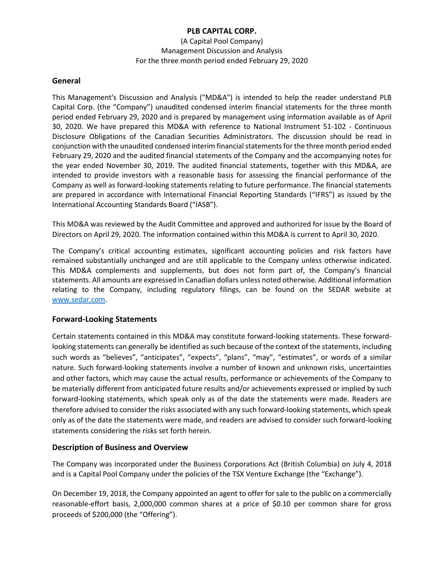(A Capital Pool Company) Management Discussion and Analysis For the three month period ended February 29, 2020

#### **General**

This Management's Discussion and Analysis ("MD&A") is intended to help the reader understand PLB Capital Corp. (the "Company") unaudited condensed interim financial statements for the three month period ended February 29, 2020 and is prepared by management using information available as of April 30, 2020. We have prepared this MD&A with reference to National Instrument 51-102 - Continuous Disclosure Obligations of the Canadian Securities Administrators. The discussion should be read in conjunction with the unaudited condensed interim financial statements for the three month period ended February 29, 2020 and the audited financial statements of the Company and the accompanying notes for the year ended November 30, 2019. The audited financial statements, together with this MD&A, are intended to provide investors with a reasonable basis for assessing the financial performance of the Company as well as forward-looking statements relating to future performance. The financial statements are prepared in accordance with International Financial Reporting Standards ("IFRS") as issued by the International Accounting Standards Board ("IASB").

This MD&A was reviewed by the Audit Committee and approved and authorized for issue by the Board of Directors on April 29, 2020. The information contained within this MD&A is current to April 30, 2020.

The Company's critical accounting estimates, significant accounting policies and risk factors have remained substantially unchanged and are still applicable to the Company unless otherwise indicated. This MD&A complements and supplements, but does not form part of, the Company's financial statements. All amounts are expressed in Canadian dollars unless noted otherwise. Additional information relating to the Company, including regulatory filings, can be found on the SEDAR website at [www.sedar.com.](http://www.sedar.com/)

## **Forward-Looking Statements**

Certain statements contained in this MD&A may constitute forward-looking statements. These forwardlooking statements can generally be identified as such because of the context of the statements, including such words as "believes", "anticipates", "expects", "plans", "may", "estimates", or words of a similar nature. Such forward-looking statements involve a number of known and unknown risks, uncertainties and other factors, which may cause the actual results, performance or achievements of the Company to be materially different from anticipated future results and/or achievements expressed or implied by such forward-looking statements, which speak only as of the date the statements were made. Readers are therefore advised to consider the risks associated with any such forward-looking statements, which speak only as of the date the statements were made, and readers are advised to consider such forward-looking statements considering the risks set forth herein.

## **Description of Business and Overview**

The Company was incorporated under the Business Corporations Act (British Columbia) on July 4, 2018 and is a Capital Pool Company under the policies of the TSX Venture Exchange (the "Exchange").

On December 19, 2018, the Company appointed an agent to offer for sale to the public on a commercially reasonable-effort basis, 2,000,000 common shares at a price of \$0.10 per common share for gross proceeds of \$200,000 (the "Offering").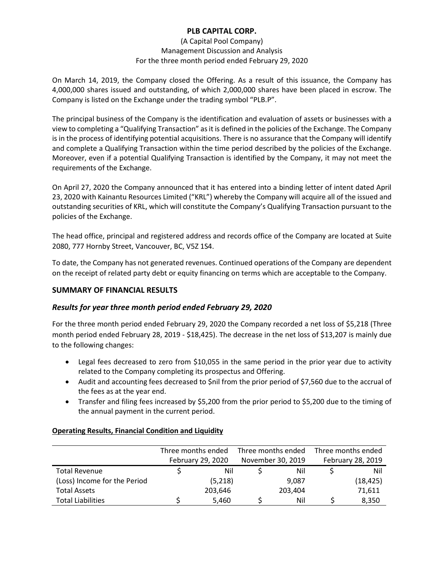#### (A Capital Pool Company) Management Discussion and Analysis For the three month period ended February 29, 2020

On March 14, 2019, the Company closed the Offering. As a result of this issuance, the Company has 4,000,000 shares issued and outstanding, of which 2,000,000 shares have been placed in escrow. The Company is listed on the Exchange under the trading symbol "PLB.P".

The principal business of the Company is the identification and evaluation of assets or businesses with a view to completing a "Qualifying Transaction" as it is defined in the policies of the Exchange. The Company is in the process of identifying potential acquisitions. There is no assurance that the Company will identify and complete a Qualifying Transaction within the time period described by the policies of the Exchange. Moreover, even if a potential Qualifying Transaction is identified by the Company, it may not meet the requirements of the Exchange.

On April 27, 2020 the Company announced that it has entered into a binding letter of intent dated April 23, 2020 with Kainantu Resources Limited ("KRL") whereby the Company will acquire all of the issued and outstanding securities of KRL, which will constitute the Company's Qualifying Transaction pursuant to the policies of the Exchange.

The head office, principal and registered address and records office of the Company are located at Suite 2080, 777 Hornby Street, Vancouver, BC, V5Z 1S4.

To date, the Company has not generated revenues. Continued operations of the Company are dependent on the receipt of related party debt or equity financing on terms which are acceptable to the Company.

# **SUMMARY OF FINANCIAL RESULTS**

# *Results for year three month period ended February 29, 2020*

For the three month period ended February 29, 2020 the Company recorded a net loss of \$5,218 (Three month period ended February 28, 2019 - \$18,425). The decrease in the net loss of \$13,207 is mainly due to the following changes:

- Legal fees decreased to zero from \$10,055 in the same period in the prior year due to activity related to the Company completing its prospectus and Offering.
- Audit and accounting fees decreased to \$nil from the prior period of \$7,560 due to the accrual of the fees as at the year end.
- Transfer and filing fees increased by \$5,200 from the prior period to \$5,200 due to the timing of the annual payment in the current period.

#### **Operating Results, Financial Condition and Liquidity**

|                              | Three months ended<br>February 29, 2020 |         | Three months ended<br>November 30, 2019 |         | Three months ended<br>February 28, 2019 |          |
|------------------------------|-----------------------------------------|---------|-----------------------------------------|---------|-----------------------------------------|----------|
|                              |                                         |         |                                         |         |                                         |          |
| <b>Total Revenue</b>         |                                         | Nil     |                                         | Nil     |                                         | Nil      |
| (Loss) Income for the Period |                                         | (5,218) |                                         | 9,087   |                                         | (18,425) |
| <b>Total Assets</b>          |                                         | 203,646 |                                         | 203,404 |                                         | 71,611   |
| <b>Total Liabilities</b>     |                                         | 5,460   |                                         | Nil     |                                         | 8,350    |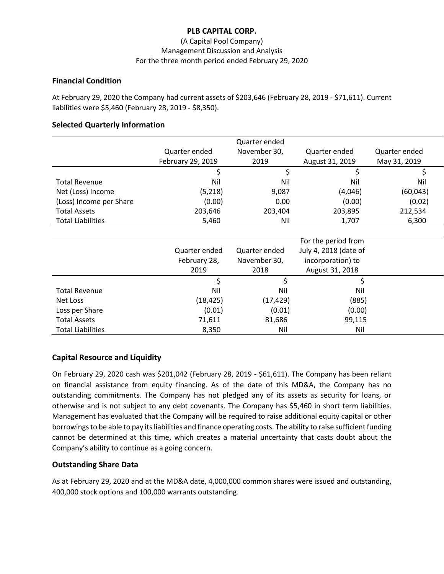#### (A Capital Pool Company) Management Discussion and Analysis For the three month period ended February 29, 2020

#### **Financial Condition**

At February 29, 2020 the Company had current assets of \$203,646 (February 28, 2019 - \$71,611). Current liabilities were \$5,460 (February 28, 2019 - \$8,350).

#### **Selected Quarterly Information**

|                          |                   | Quarter ended |                       |               |
|--------------------------|-------------------|---------------|-----------------------|---------------|
|                          | Quarter ended     | November 30,  | Quarter ended         | Quarter ended |
|                          | February 29, 2019 | 2019          | August 31, 2019       | May 31, 2019  |
|                          | \$                | \$            | \$                    | \$            |
| <b>Total Revenue</b>     | Nil               | Nil           | Nil                   | Nil           |
| Net (Loss) Income        | (5,218)           | 9,087         | (4,046)               | (60, 043)     |
| (Loss) Income per Share  | (0.00)            | 0.00          | (0.00)                | (0.02)        |
| <b>Total Assets</b>      | 203,646           | 203,404       | 203,895               | 212,534       |
| <b>Total Liabilities</b> | 5,460             | Nil           | 1,707                 | 6,300         |
|                          |                   |               |                       |               |
|                          |                   |               | For the period from   |               |
|                          | Quarter ended     | Quarter ended | July 4, 2018 (date of |               |
|                          | February 28,      | November 30,  | incorporation) to     |               |
|                          | 2019              | 2018          | August 31, 2018       |               |
|                          | \$                | \$            | \$                    |               |
| <b>Total Revenue</b>     | Nil               | Nil           | Nil                   |               |
| Net Loss                 | (18, 425)         | (17, 429)     | (885)                 |               |
| Loss per Share           | (0.01)            | (0.01)        | (0.00)                |               |
| <b>Total Assets</b>      | 71,611            | 81,686        | 99,115                |               |
| <b>Total Liabilities</b> | 8,350             | Nil           | Nil                   |               |

## **Capital Resource and Liquidity**

On February 29, 2020 cash was \$201,042 (February 28, 2019 - \$61,611). The Company has been reliant on financial assistance from equity financing. As of the date of this MD&A, the Company has no outstanding commitments. The Company has not pledged any of its assets as security for loans, or otherwise and is not subject to any debt covenants. The Company has \$5,460 in short term liabilities. Management has evaluated that the Company will be required to raise additional equity capital or other borrowings to be able to pay its liabilities and finance operating costs. The ability to raise sufficient funding cannot be determined at this time, which creates a material uncertainty that casts doubt about the Company's ability to continue as a going concern.

## **Outstanding Share Data**

As at February 29, 2020 and at the MD&A date, 4,000,000 common shares were issued and outstanding, 400,000 stock options and 100,000 warrants outstanding.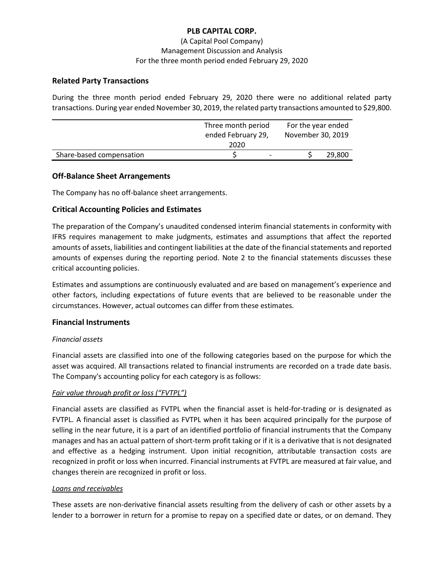## (A Capital Pool Company) Management Discussion and Analysis For the three month period ended February 29, 2020

## **Related Party Transactions**

During the three month period ended February 29, 2020 there were no additional related party transactions. During year ended November 30, 2019, the related party transactions amounted to \$29,800.

|                          | Three month period<br>ended February 29,<br>2020 | For the year ended<br>November 30, 2019 |  |
|--------------------------|--------------------------------------------------|-----------------------------------------|--|
| Share-based compensation |                                                  | 29,800                                  |  |

## **Off-Balance Sheet Arrangements**

The Company has no off-balance sheet arrangements.

## **Critical Accounting Policies and Estimates**

The preparation of the Company's unaudited condensed interim financial statements in conformity with IFRS requires management to make judgments, estimates and assumptions that affect the reported amounts of assets, liabilities and contingent liabilities at the date of the financial statements and reported amounts of expenses during the reporting period. Note 2 to the financial statements discusses these critical accounting policies.

Estimates and assumptions are continuously evaluated and are based on management's experience and other factors, including expectations of future events that are believed to be reasonable under the circumstances. However, actual outcomes can differ from these estimates.

## **Financial Instruments**

## *Financial assets*

Financial assets are classified into one of the following categories based on the purpose for which the asset was acquired. All transactions related to financial instruments are recorded on a trade date basis. The Company's accounting policy for each category is as follows:

## *Fair value through profit or loss ("FVTPL")*

Financial assets are classified as FVTPL when the financial asset is held-for-trading or is designated as FVTPL. A financial asset is classified as FVTPL when it has been acquired principally for the purpose of selling in the near future, it is a part of an identified portfolio of financial instruments that the Company manages and has an actual pattern of short-term profit taking or if it is a derivative that is not designated and effective as a hedging instrument. Upon initial recognition, attributable transaction costs are recognized in profit or loss when incurred. Financial instruments at FVTPL are measured at fair value, and changes therein are recognized in profit or loss.

#### *Loans and receivables*

These assets are non-derivative financial assets resulting from the delivery of cash or other assets by a lender to a borrower in return for a promise to repay on a specified date or dates, or on demand. They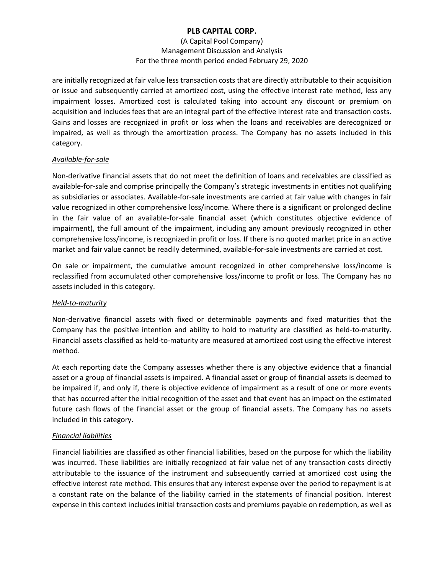## (A Capital Pool Company) Management Discussion and Analysis For the three month period ended February 29, 2020

are initially recognized at fair value less transaction costs that are directly attributable to their acquisition or issue and subsequently carried at amortized cost, using the effective interest rate method, less any impairment losses. Amortized cost is calculated taking into account any discount or premium on acquisition and includes fees that are an integral part of the effective interest rate and transaction costs. Gains and losses are recognized in profit or loss when the loans and receivables are derecognized or impaired, as well as through the amortization process. The Company has no assets included in this category.

## *Available-for-sale*

Non-derivative financial assets that do not meet the definition of loans and receivables are classified as available-for-sale and comprise principally the Company's strategic investments in entities not qualifying as subsidiaries or associates. Available-for-sale investments are carried at fair value with changes in fair value recognized in other comprehensive loss/income. Where there is a significant or prolonged decline in the fair value of an available-for-sale financial asset (which constitutes objective evidence of impairment), the full amount of the impairment, including any amount previously recognized in other comprehensive loss/income, is recognized in profit or loss. If there is no quoted market price in an active market and fair value cannot be readily determined, available-for-sale investments are carried at cost.

On sale or impairment, the cumulative amount recognized in other comprehensive loss/income is reclassified from accumulated other comprehensive loss/income to profit or loss. The Company has no assets included in this category.

## *Held-to-maturity*

Non-derivative financial assets with fixed or determinable payments and fixed maturities that the Company has the positive intention and ability to hold to maturity are classified as held-to-maturity. Financial assets classified as held-to-maturity are measured at amortized cost using the effective interest method.

At each reporting date the Company assesses whether there is any objective evidence that a financial asset or a group of financial assets is impaired. A financial asset or group of financial assets is deemed to be impaired if, and only if, there is objective evidence of impairment as a result of one or more events that has occurred after the initial recognition of the asset and that event has an impact on the estimated future cash flows of the financial asset or the group of financial assets. The Company has no assets included in this category.

## *Financial liabilities*

Financial liabilities are classified as other financial liabilities, based on the purpose for which the liability was incurred. These liabilities are initially recognized at fair value net of any transaction costs directly attributable to the issuance of the instrument and subsequently carried at amortized cost using the effective interest rate method. This ensures that any interest expense over the period to repayment is at a constant rate on the balance of the liability carried in the statements of financial position. Interest expense in this context includes initial transaction costs and premiums payable on redemption, as well as